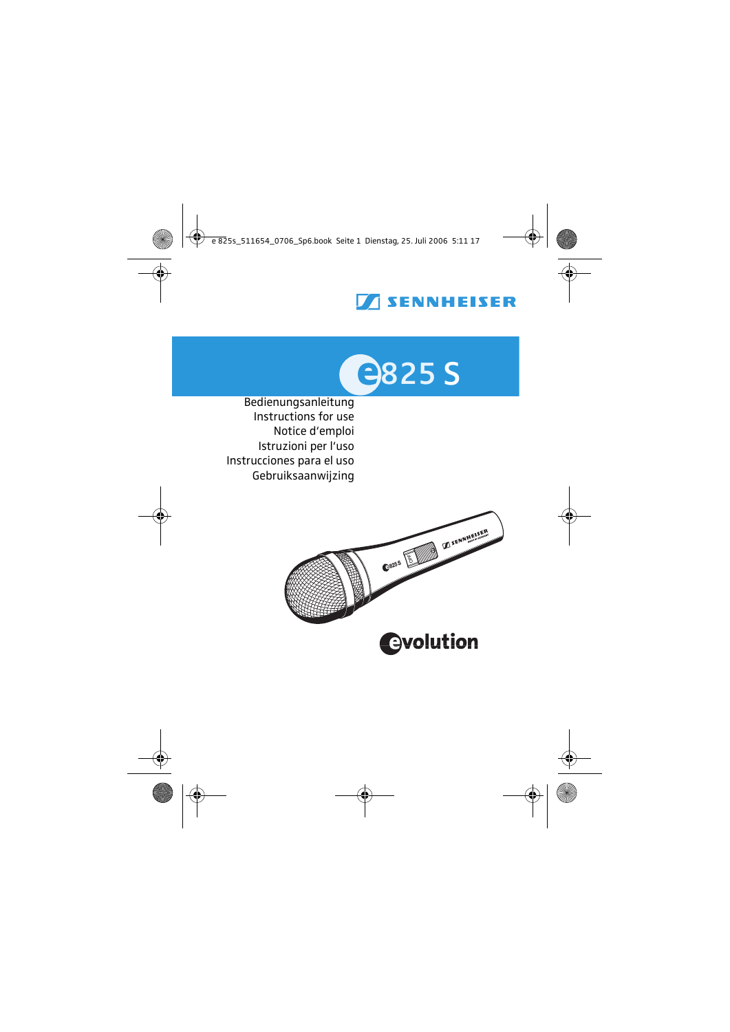# **TENNHEISER**



 Bedienungsanleitung Instructions for use Notice d'emploi Istruzioni per l'uso Instrucciones para el uso Gebruiksaanwijzing

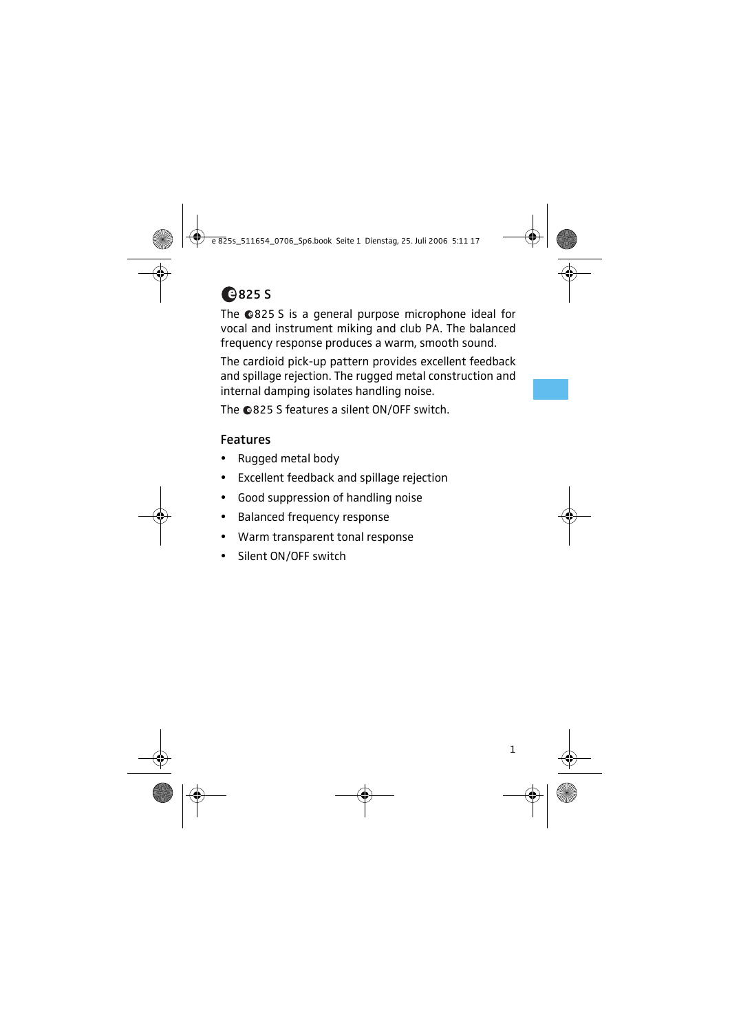

The @825 S is a general purpose microphone ideal for vocal and instrument miking and club PA. The balanced frequency response produces a warm, smooth sound.

The cardioid pick-up pattern provides excellent feedback and spillage rejection. The rugged metal construction and internal damping isolates handling noise.

The @825 S features a silent ON/OFF switch.

#### Features

- y Rugged metal body
- Excellent feedback and spillage rejection
- Good suppression of handling noise
- Balanced frequency response
- Warm transparent tonal response
- Silent ON/OFF switch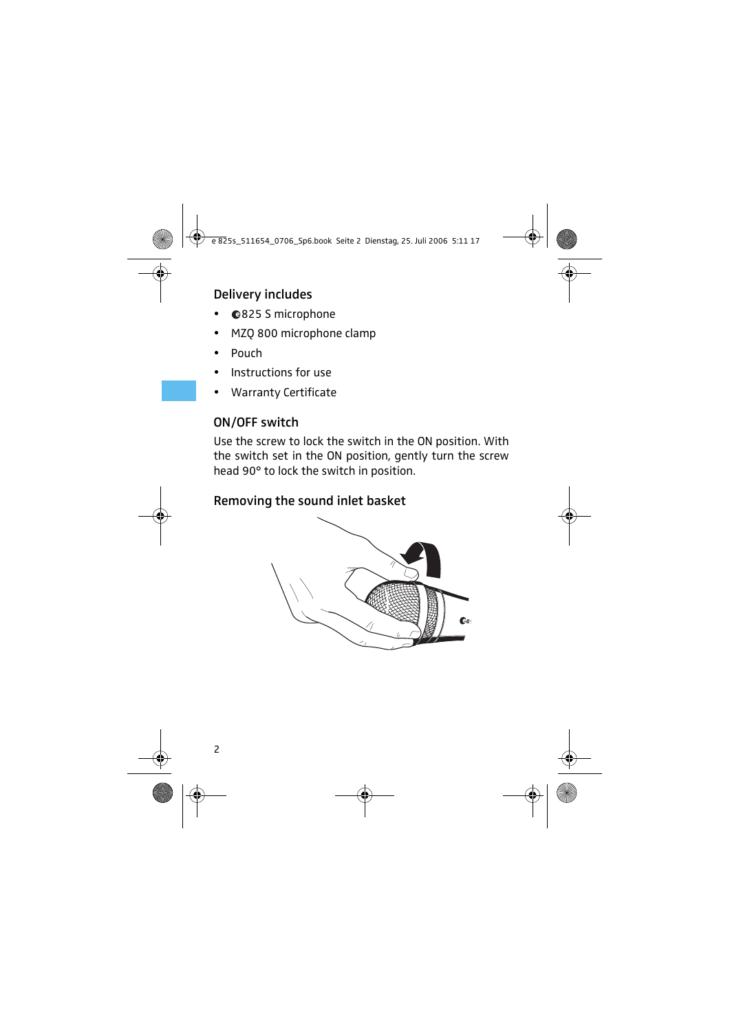### Delivery includes

- @825 S microphone
- MZQ 800 microphone clamp
- Pouch
- Instructions for use
- Warranty Certificate

### ON/OFF switch

Use the screw to lock the switch in the ON position. With the switch set in the ON position, gently turn the screw head 90° to lock the switch in position.

#### Removing the sound inlet basket

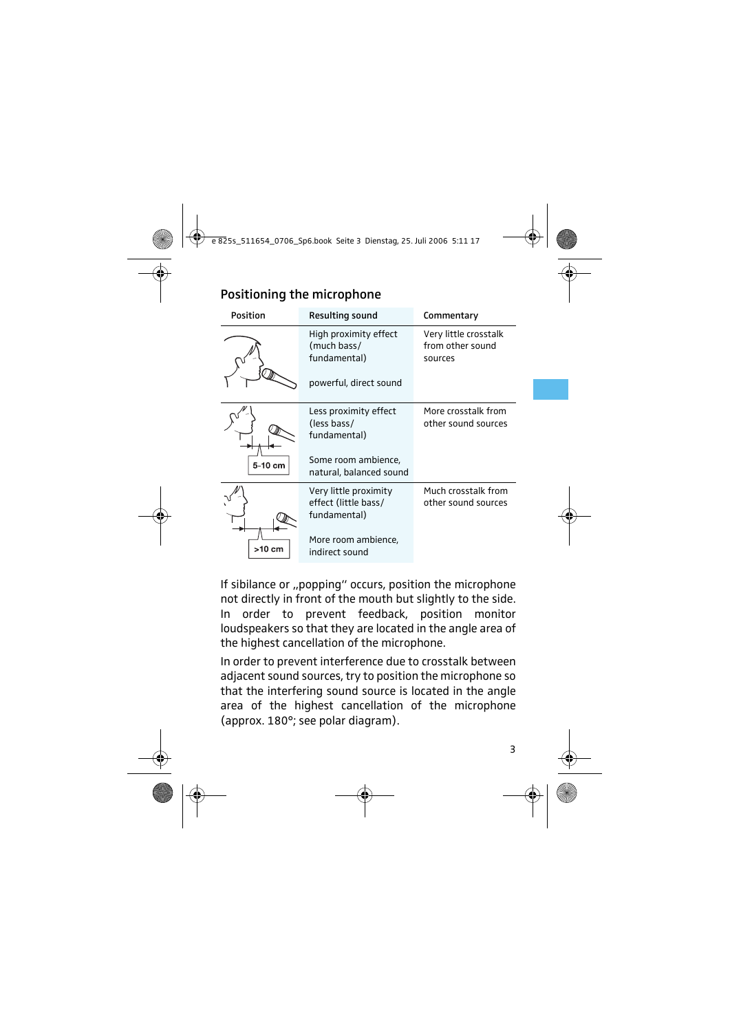| Position | <b>Resulting sound</b>                                                                                 | Commentary                                           |  |  |  |  |
|----------|--------------------------------------------------------------------------------------------------------|------------------------------------------------------|--|--|--|--|
|          | High proximity effect<br>(much bass/<br>fundamental)<br>powerful, direct sound                         | Very little crosstalk<br>from other sound<br>sources |  |  |  |  |
| 5-10 cm  | Less proximity effect<br>(less bass/<br>fundamental)<br>Some room ambience,<br>natural, balanced sound | More crosstalk from<br>other sound sources           |  |  |  |  |
| >10 cm   | Very little proximity<br>effect (little bass/<br>fundamental)<br>More room ambience,<br>indirect sound | Much crosstalk from<br>other sound sources           |  |  |  |  |

If sibilance or ..popping" occurs, position the microphone not directly in front of the mouth but slightly to the side. In order to prevent feedback, position monitor loudspeakers so that they are located in the angle area of the highest cancellation of the microphone.

In order to prevent interference due to crosstalk between adjacent sound sources, try to position the microphone so that the interfering sound source is located in the angle area of the highest cancellation of the microphone (approx. 180°; see polar diagram).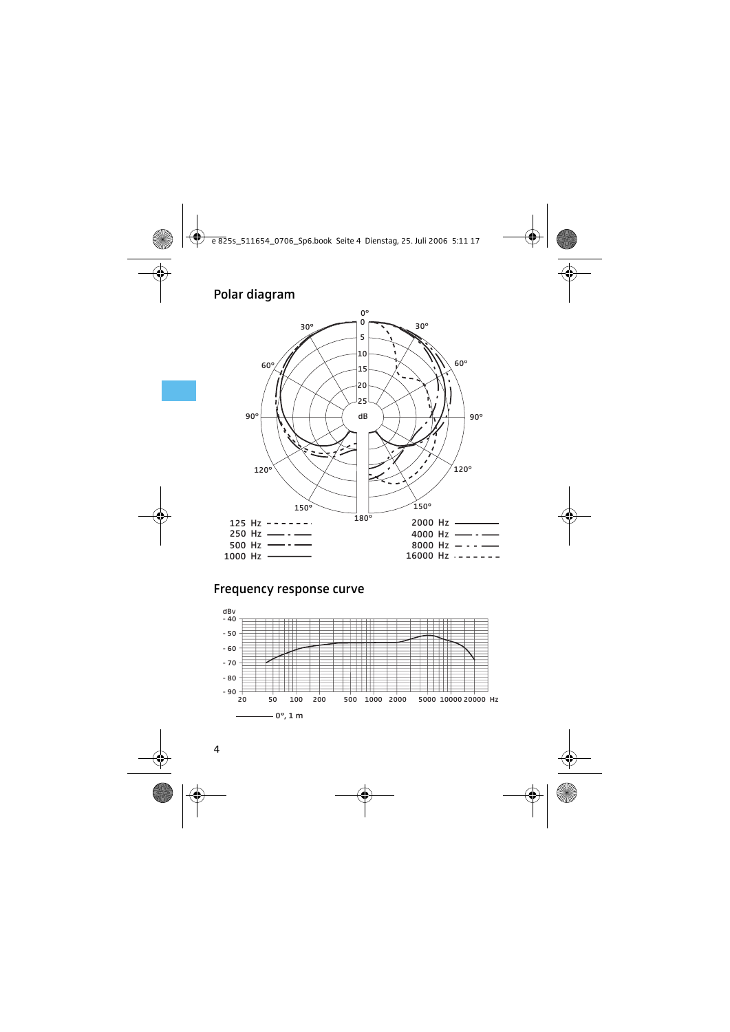#### Polar diagram



#### Frequency response curve

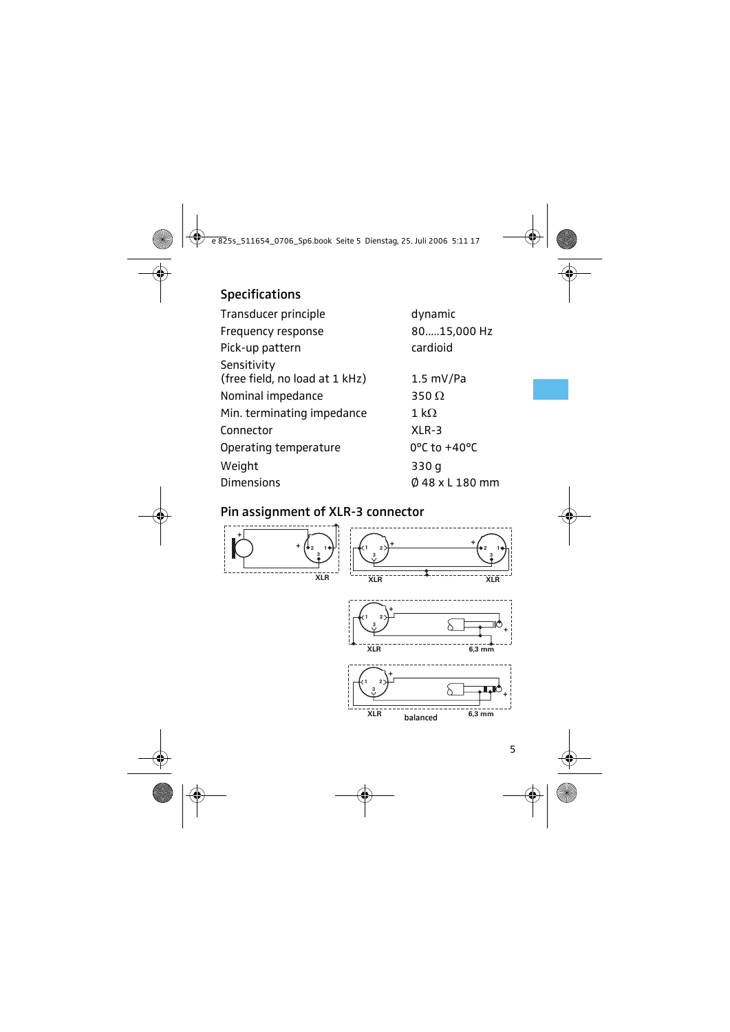### Specifications

| Transducer principle                          | dynamic                           |  |  |  |  |  |
|-----------------------------------------------|-----------------------------------|--|--|--|--|--|
| Frequency response                            | 8015,000 Hz                       |  |  |  |  |  |
| Pick-up pattern                               | cardioid                          |  |  |  |  |  |
| Sensitivity<br>(free field, no load at 1 kHz) | $1.5 \text{ mV/Pa}$               |  |  |  |  |  |
| Nominal impedance                             | 350 $\Omega$                      |  |  |  |  |  |
| Min. terminating impedance                    | $1\,\mathrm{k}\Omega$             |  |  |  |  |  |
| Connector                                     | $XLR-3$                           |  |  |  |  |  |
| Operating temperature                         | $0^{\circ}$ C to +40 $^{\circ}$ C |  |  |  |  |  |
| Weight                                        | 330 g                             |  |  |  |  |  |
| <b>Dimensions</b>                             | Ø 48 x L 180 mm                   |  |  |  |  |  |

#### Pin assignment of XLR-3 connector

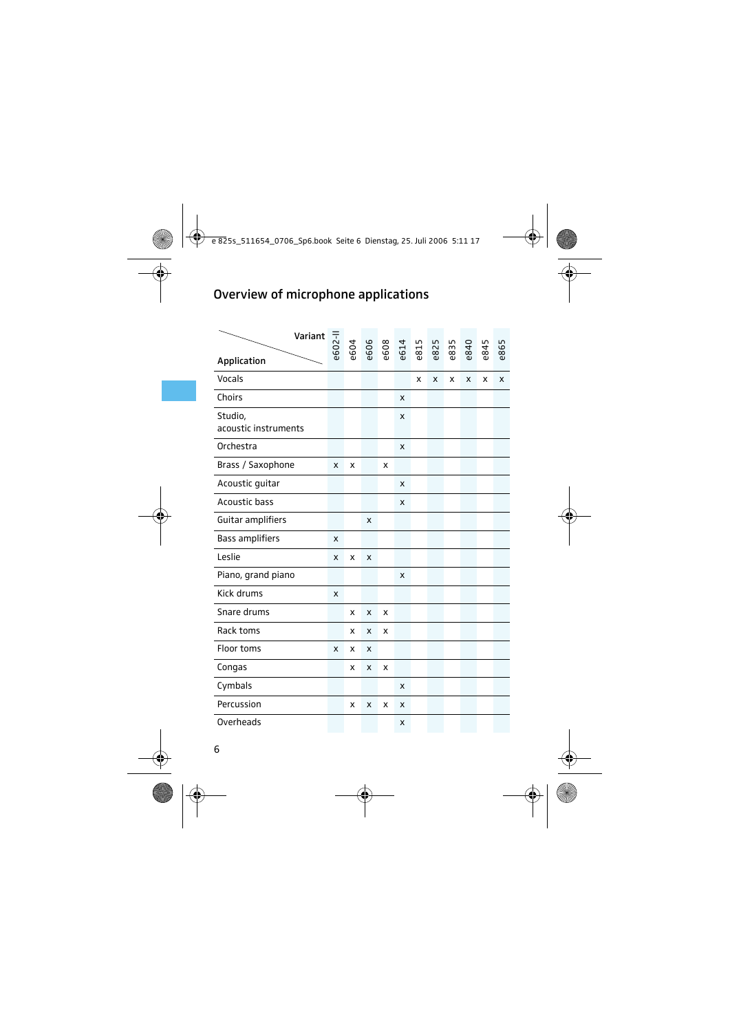## Overview of microphone applications

|                                 | Variant | e602-ll | e604 | e606 | e608 | e614 | e815 | e825 | e835 | e840 | e845 | e865 |
|---------------------------------|---------|---------|------|------|------|------|------|------|------|------|------|------|
| Application                     |         |         |      |      |      |      |      |      |      |      |      |      |
| Vocals                          |         |         |      |      |      |      | X    | X    | x    | x    | x    | x    |
| Choirs                          |         |         |      |      |      | x    |      |      |      |      |      |      |
| Studio,<br>acoustic instruments |         |         |      |      |      | X    |      |      |      |      |      |      |
| Orchestra                       |         |         |      |      |      | X    |      |      |      |      |      |      |
| Brass / Saxophone               |         | x       | x    |      | x    |      |      |      |      |      |      |      |
| Acoustic quitar                 |         |         |      |      |      | X    |      |      |      |      |      |      |
| Acoustic bass                   |         |         |      |      |      | x    |      |      |      |      |      |      |
| Guitar amplifiers               |         |         |      | x    |      |      |      |      |      |      |      |      |
| <b>Bass amplifiers</b>          |         | x       |      |      |      |      |      |      |      |      |      |      |
| Leslie                          |         | x       | x    | x    |      |      |      |      |      |      |      |      |
| Piano, grand piano              |         |         |      |      |      | x    |      |      |      |      |      |      |
| Kick drums                      |         | x       |      |      |      |      |      |      |      |      |      |      |
| Snare drums                     |         |         | x    | x    | X    |      |      |      |      |      |      |      |
| Rack toms                       |         |         | x    | x    | x    |      |      |      |      |      |      |      |
| Floor toms                      |         | x       | x    | x    |      |      |      |      |      |      |      |      |
| Congas                          |         |         | x    | x    | x    |      |      |      |      |      |      |      |
| Cymbals                         |         |         |      |      |      | X    |      |      |      |      |      |      |
| Percussion                      |         |         | x    | x    | x    | x    |      |      |      |      |      |      |
| Overheads                       |         |         |      |      |      | x    |      |      |      |      |      |      |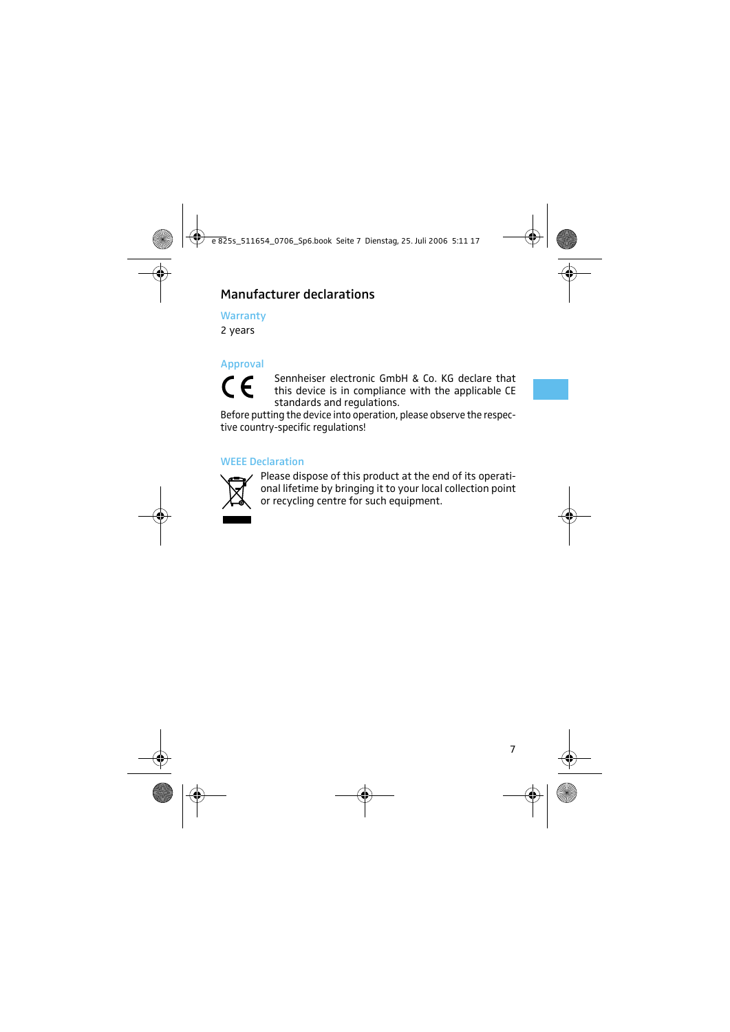## Manufacturer declarations

**Warranty** 

2 years

## Approval  $\epsilon$

Sennheiser electronic GmbH & Co. KG declare that this device is in compliance with the applicable CE standards and regulations.

Before putting the device into operation, please observe the respective country-specific regulations!

#### WEEE Declaration



Please dispose of this product at the end of its operational lifetime by bringing it to your local collection point or recycling centre for such equipment.